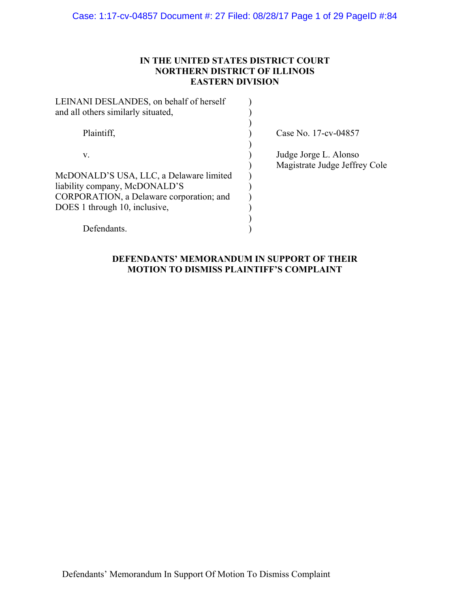# **IN THE UNITED STATES DISTRICT COURT NORTHERN DISTRICT OF ILLINOIS EASTERN DIVISION**

| Case No. 17-cv-04857                                   |
|--------------------------------------------------------|
| Judge Jorge L. Alonso<br>Magistrate Judge Jeffrey Cole |
|                                                        |
|                                                        |
|                                                        |
|                                                        |
|                                                        |
|                                                        |
|                                                        |

# **DEFENDANTS' MEMORANDUM IN SUPPORT OF THEIR MOTION TO DISMISS PLAINTIFF'S COMPLAINT**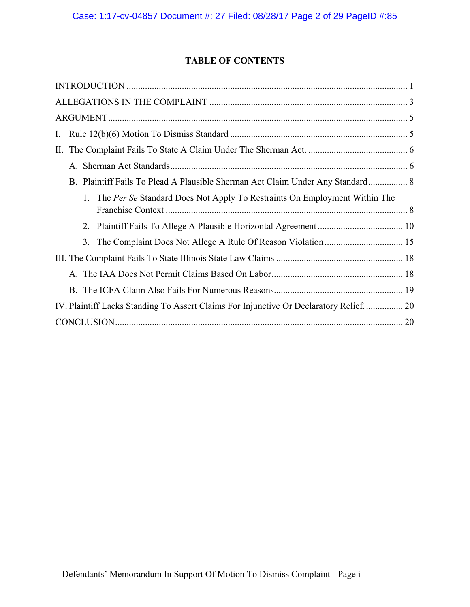# **TABLE OF CONTENTS**

| I.                                                                                    |
|---------------------------------------------------------------------------------------|
| П.                                                                                    |
|                                                                                       |
| B. Plaintiff Fails To Plead A Plausible Sherman Act Claim Under Any Standard 8        |
| 1. The Per Se Standard Does Not Apply To Restraints On Employment Within The          |
|                                                                                       |
|                                                                                       |
|                                                                                       |
|                                                                                       |
|                                                                                       |
| IV. Plaintiff Lacks Standing To Assert Claims For Injunctive Or Declaratory Relief 20 |
|                                                                                       |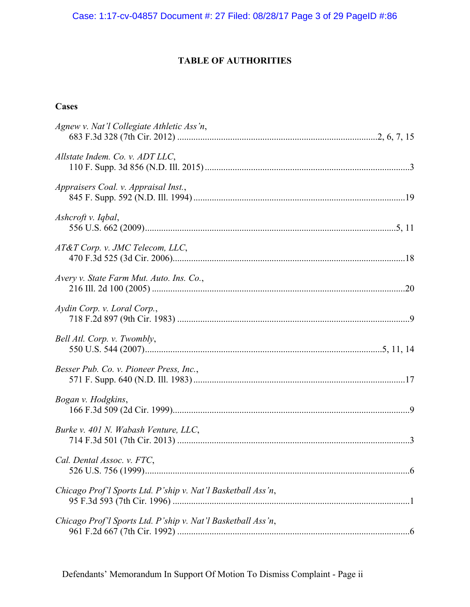# **TABLE OF AUTHORITIES**

# **Cases**

| Agnew v. Nat'l Collegiate Athletic Ass'n,                    |
|--------------------------------------------------------------|
| Allstate Indem. Co. v. ADT LLC,                              |
| Appraisers Coal. v. Appraisal Inst.,                         |
| Ashcroft v. Iqbal,                                           |
| AT&T Corp. v. JMC Telecom, LLC,                              |
| Avery v. State Farm Mut. Auto. Ins. Co.,                     |
| Aydin Corp. v. Loral Corp.,                                  |
| Bell Atl. Corp. v. Twombly,                                  |
| Besser Pub. Co. v. Pioneer Press, Inc.,                      |
| Bogan v. Hodgkins,                                           |
| Burke v. 401 N. Wabash Venture, LLC,                         |
| Cal. Dental Assoc. v. FTC,                                   |
| Chicago Prof'l Sports Ltd. P'ship v. Nat'l Basketball Ass'n, |
| Chicago Prof'l Sports Ltd. P'ship v. Nat'l Basketball Ass'n, |

Defendants' Memorandum In Support Of Motion To Dismiss Complaint - Page ii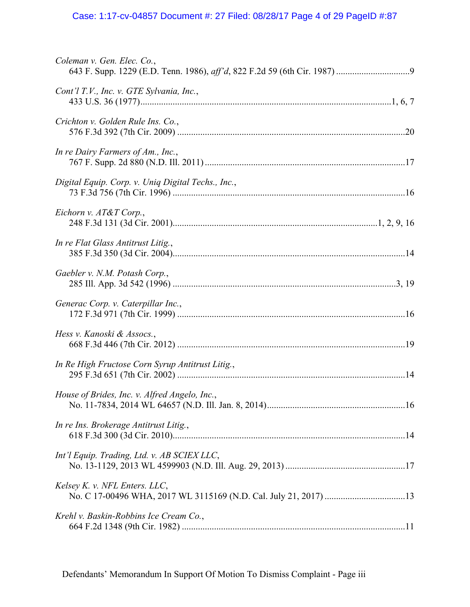# Case: 1:17-cv-04857 Document #: 27 Filed: 08/28/17 Page 4 of 29 PageID #:87

| Coleman v. Gen. Elec. Co.,                         |
|----------------------------------------------------|
| Cont'l T.V., Inc. v. GTE Sylvania, Inc.,           |
| Crichton v. Golden Rule Ins. Co.,                  |
| In re Dairy Farmers of Am., Inc.,                  |
| Digital Equip. Corp. v. Uniq Digital Techs., Inc., |
| Eichorn v. AT&T Corp.,                             |
| In re Flat Glass Antitrust Litig.,                 |
| Gaebler v. N.M. Potash Corp.,                      |
| Generac Corp. v. Caterpillar Inc.,                 |
| Hess v. Kanoski & Assocs.,                         |
| In Re High Fructose Corn Syrup Antitrust Litig.,   |
| House of Brides, Inc. v. Alfred Angelo, Inc.,      |
| In re Ins. Brokerage Antitrust Litig.,             |
| Int'l Equip. Trading, Ltd. v. AB SCIEX LLC,        |
| Kelsey K. v. NFL Enters. LLC,                      |
| Krehl v. Baskin-Robbins Ice Cream Co.,             |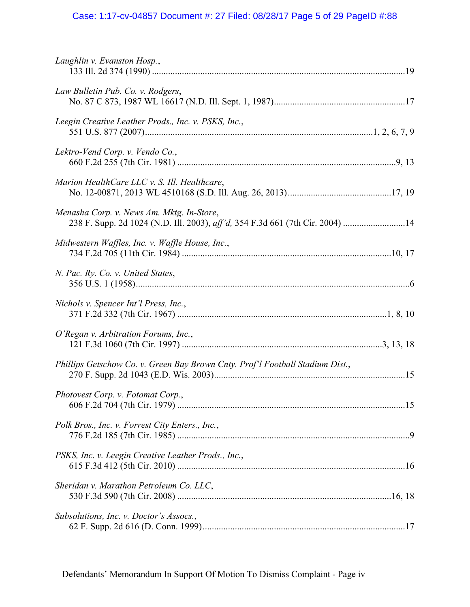# Case: 1:17-cv-04857 Document #: 27 Filed: 08/28/17 Page 5 of 29 PageID #:88

| Laughlin v. Evanston Hosp.,                                                                                                |  |
|----------------------------------------------------------------------------------------------------------------------------|--|
| Law Bulletin Pub. Co. v. Rodgers,                                                                                          |  |
| Leegin Creative Leather Prods., Inc. v. PSKS, Inc.,                                                                        |  |
| Lektro-Vend Corp. v. Vendo Co.,                                                                                            |  |
| Marion HealthCare LLC v. S. Ill. Healthcare,                                                                               |  |
| Menasha Corp. v. News Am. Mktg. In-Store,<br>238 F. Supp. 2d 1024 (N.D. Ill. 2003), aff'd, 354 F.3d 661 (7th Cir. 2004) 14 |  |
| Midwestern Waffles, Inc. v. Waffle House, Inc.,                                                                            |  |
| N. Pac. Ry. Co. v. United States,                                                                                          |  |
| Nichols v. Spencer Int'l Press, Inc.,                                                                                      |  |
| O'Regan v. Arbitration Forums, Inc.,                                                                                       |  |
| Phillips Getschow Co. v. Green Bay Brown Cnty. Prof'l Football Stadium Dist.,                                              |  |
| Photovest Corp. v. Fotomat Corp.,                                                                                          |  |
| Polk Bros., Inc. v. Forrest City Enters., Inc.,                                                                            |  |
| PSKS, Inc. v. Leegin Creative Leather Prods., Inc.,                                                                        |  |
| Sheridan v. Marathon Petroleum Co. LLC,                                                                                    |  |
| Subsolutions, Inc. v. Doctor's Assocs.,                                                                                    |  |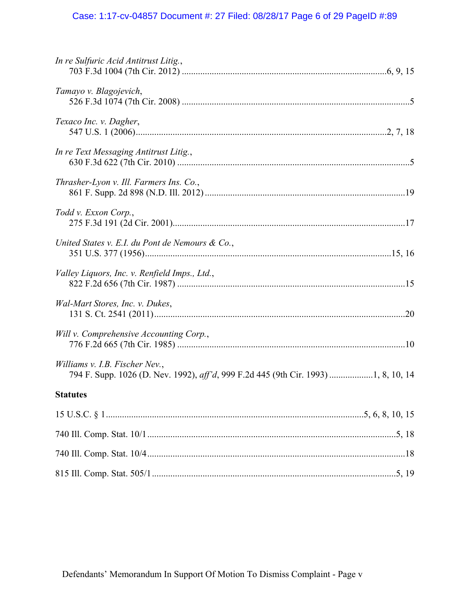# Case: 1:17-cv-04857 Document #: 27 Filed: 08/28/17 Page 6 of 29 PageID #:89

| In re Sulfuric Acid Antitrust Litig.,           |
|-------------------------------------------------|
| Tamayo v. Blagojevich,                          |
| Texaco Inc. v. Dagher,                          |
| In re Text Messaging Antitrust Litig.,          |
| Thrasher-Lyon v. Ill. Farmers Ins. Co.,         |
| Todd v. Exxon Corp.,                            |
| United States v. E.I. du Pont de Nemours & Co., |
| Valley Liquors, Inc. v. Renfield Imps., Ltd.,   |
| Wal-Mart Stores, Inc. v. Dukes,                 |
| Will v. Comprehensive Accounting Corp.,         |
| Williams v. I.B. Fischer Nev.,                  |
| <b>Statutes</b>                                 |
|                                                 |
|                                                 |
|                                                 |
|                                                 |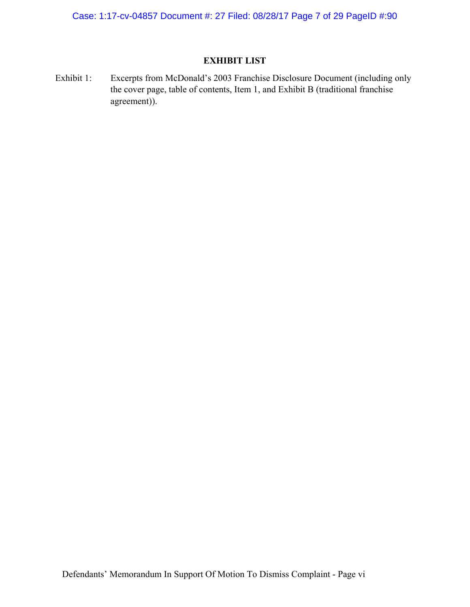Case: 1:17-cv-04857 Document #: 27 Filed: 08/28/17 Page 7 of 29 PageID #:90

# **EXHIBIT LIST**

Exhibit 1: Excerpts from McDonald's 2003 Franchise Disclosure Document (including only the cover page, table of contents, Item 1, and Exhibit B (traditional franchise agreement)).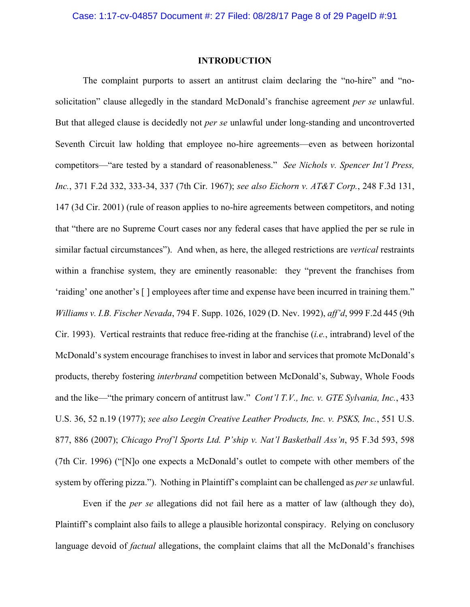### **INTRODUCTION**

The complaint purports to assert an antitrust claim declaring the "no-hire" and "nosolicitation" clause allegedly in the standard McDonald's franchise agreement *per se* unlawful. But that alleged clause is decidedly not *per se* unlawful under long-standing and uncontroverted Seventh Circuit law holding that employee no-hire agreements—even as between horizontal competitors—"are tested by a standard of reasonableness." *See Nichols v. Spencer Int'l Press, Inc.*, 371 F.2d 332, 333-34, 337 (7th Cir. 1967); *see also Eichorn v. AT&T Corp.*, 248 F.3d 131, 147 (3d Cir. 2001) (rule of reason applies to no-hire agreements between competitors, and noting that "there are no Supreme Court cases nor any federal cases that have applied the per se rule in similar factual circumstances"). And when, as here, the alleged restrictions are *vertical* restraints within a franchise system, they are eminently reasonable: they "prevent the franchises from 'raiding' one another's [ ] employees after time and expense have been incurred in training them." *Williams v. I.B. Fischer Nevada*, 794 F. Supp. 1026, 1029 (D. Nev. 1992), *aff'd*, 999 F.2d 445 (9th Cir. 1993). Vertical restraints that reduce free-riding at the franchise (*i.e.*, intrabrand) level of the McDonald's system encourage franchises to invest in labor and services that promote McDonald's products, thereby fostering *interbrand* competition between McDonald's, Subway, Whole Foods and the like—"the primary concern of antitrust law." *Cont'l T.V., Inc. v. GTE Sylvania, Inc.*, 433 U.S. 36, 52 n.19 (1977); *see also Leegin Creative Leather Products, Inc. v. PSKS, Inc.*, 551 U.S. 877, 886 (2007); *Chicago Prof'l Sports Ltd. P'ship v. Nat'l Basketball Ass'n*, 95 F.3d 593, 598 (7th Cir. 1996) ("[N]o one expects a McDonald's outlet to compete with other members of the system by offering pizza."). Nothing in Plaintiff's complaint can be challenged as *per se* unlawful.

Even if the *per se* allegations did not fail here as a matter of law (although they do), Plaintiff's complaint also fails to allege a plausible horizontal conspiracy. Relying on conclusory language devoid of *factual* allegations, the complaint claims that all the McDonald's franchises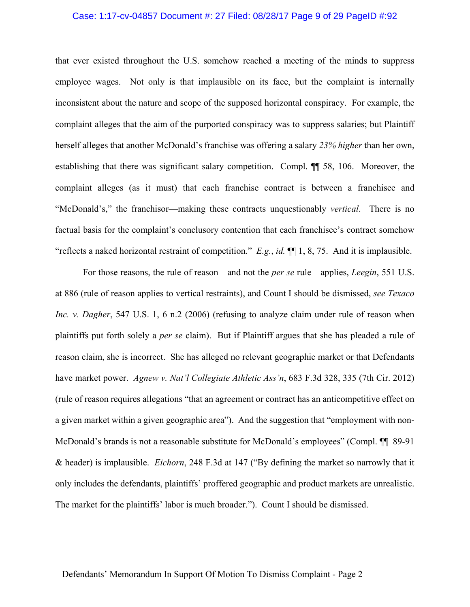#### Case: 1:17-cv-04857 Document #: 27 Filed: 08/28/17 Page 9 of 29 PageID #:92

that ever existed throughout the U.S. somehow reached a meeting of the minds to suppress employee wages. Not only is that implausible on its face, but the complaint is internally inconsistent about the nature and scope of the supposed horizontal conspiracy. For example, the complaint alleges that the aim of the purported conspiracy was to suppress salaries; but Plaintiff herself alleges that another McDonald's franchise was offering a salary *23% higher* than her own, establishing that there was significant salary competition. Compl. ¶¶ 58, 106. Moreover, the complaint alleges (as it must) that each franchise contract is between a franchisee and "McDonald's," the franchisor—making these contracts unquestionably *vertical*. There is no factual basis for the complaint's conclusory contention that each franchisee's contract somehow "reflects a naked horizontal restraint of competition." *E.g.*, *id.* ¶¶ 1, 8, 75. And it is implausible.

For those reasons, the rule of reason—and not the *per se* rule—applies, *Leegin*, 551 U.S. at 886 (rule of reason applies to vertical restraints), and Count I should be dismissed, *see Texaco Inc. v. Dagher*, 547 U.S. 1, 6 n.2 (2006) (refusing to analyze claim under rule of reason when plaintiffs put forth solely a *per se* claim). But if Plaintiff argues that she has pleaded a rule of reason claim, she is incorrect. She has alleged no relevant geographic market or that Defendants have market power. *Agnew v. Nat'l Collegiate Athletic Ass'n*, 683 F.3d 328, 335 (7th Cir. 2012) (rule of reason requires allegations "that an agreement or contract has an anticompetitive effect on a given market within a given geographic area"). And the suggestion that "employment with non-McDonald's brands is not a reasonable substitute for McDonald's employees" (Compl. ¶¶ 89-91 & header) is implausible. *Eichorn*, 248 F.3d at 147 ("By defining the market so narrowly that it only includes the defendants, plaintiffs' proffered geographic and product markets are unrealistic. The market for the plaintiffs' labor is much broader."). Count I should be dismissed.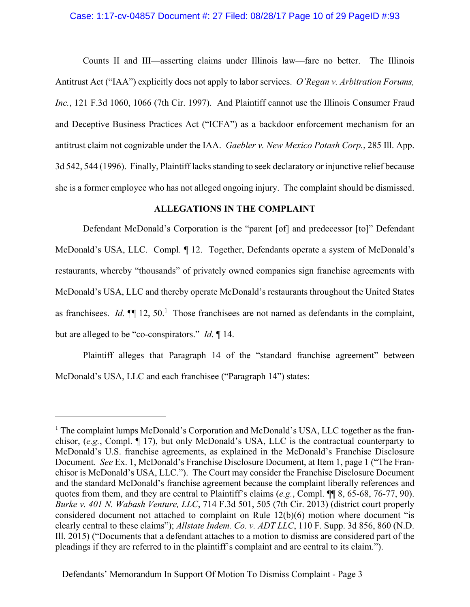#### Case: 1:17-cv-04857 Document #: 27 Filed: 08/28/17 Page 10 of 29 PageID #:93

Counts II and III—asserting claims under Illinois law—fare no better. The Illinois Antitrust Act ("IAA") explicitly does not apply to labor services. *O'Regan v. Arbitration Forums, Inc.*, 121 F.3d 1060, 1066 (7th Cir. 1997). And Plaintiff cannot use the Illinois Consumer Fraud and Deceptive Business Practices Act ("ICFA") as a backdoor enforcement mechanism for an antitrust claim not cognizable under the IAA. *Gaebler v. New Mexico Potash Corp.*, 285 Ill. App. 3d 542, 544 (1996). Finally, Plaintiff lacks standing to seek declaratory or injunctive relief because she is a former employee who has not alleged ongoing injury. The complaint should be dismissed.

## **ALLEGATIONS IN THE COMPLAINT**

Defendant McDonald's Corporation is the "parent [of] and predecessor [to]" Defendant McDonald's USA, LLC. Compl. ¶ 12. Together, Defendants operate a system of McDonald's restaurants, whereby "thousands" of privately owned companies sign franchise agreements with McDonald's USA, LLC and thereby operate McDonald's restaurants throughout the United States as franchisees. *Id.*  $\P$  12, 50.<sup>1</sup> Those franchisees are not named as defendants in the complaint, but are alleged to be "co-conspirators." *Id.* ¶ 14.

Plaintiff alleges that Paragraph 14 of the "standard franchise agreement" between McDonald's USA, LLC and each franchisee ("Paragraph 14") states:

 $\overline{a}$ 

<sup>&</sup>lt;sup>1</sup> The complaint lumps McDonald's Corporation and McDonald's USA, LLC together as the franchisor, (*e.g.*, Compl. ¶ 17), but only McDonald's USA, LLC is the contractual counterparty to McDonald's U.S. franchise agreements, as explained in the McDonald's Franchise Disclosure Document. *See* Ex. 1, McDonald's Franchise Disclosure Document, at Item 1, page 1 ("The Franchisor is McDonald's USA, LLC."). The Court may consider the Franchise Disclosure Document and the standard McDonald's franchise agreement because the complaint liberally references and quotes from them, and they are central to Plaintiff's claims (*e.g.*, Compl. ¶¶ 8, 65-68, 76-77, 90). *Burke v. 401 N. Wabash Venture, LLC*, 714 F.3d 501, 505 (7th Cir. 2013) (district court properly considered document not attached to complaint on Rule 12(b)(6) motion where document "is clearly central to these claims"); *Allstate Indem. Co. v. ADT LLC*, 110 F. Supp. 3d 856, 860 (N.D. Ill. 2015) ("Documents that a defendant attaches to a motion to dismiss are considered part of the pleadings if they are referred to in the plaintiff's complaint and are central to its claim.").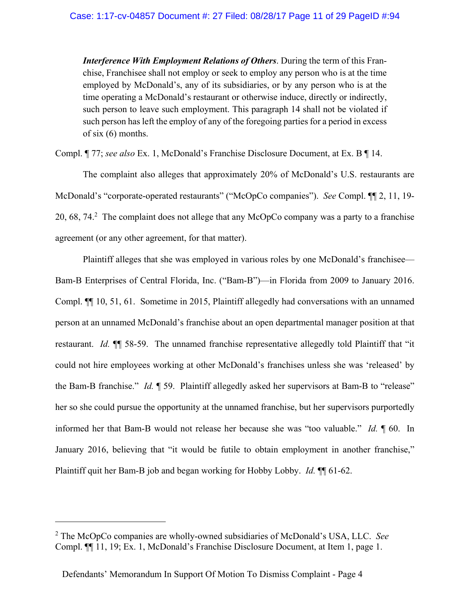*Interference With Employment Relations of Others*. During the term of this Franchise, Franchisee shall not employ or seek to employ any person who is at the time employed by McDonald's, any of its subsidiaries, or by any person who is at the time operating a McDonald's restaurant or otherwise induce, directly or indirectly, such person to leave such employment. This paragraph 14 shall not be violated if such person has left the employ of any of the foregoing parties for a period in excess of six (6) months.

Compl. ¶ 77; *see also* Ex. 1, McDonald's Franchise Disclosure Document, at Ex. B ¶ 14.

The complaint also alleges that approximately 20% of McDonald's U.S. restaurants are McDonald's "corporate-operated restaurants" ("McOpCo companies"). *See* Compl. ¶¶ 2, 11, 19- 20, 68, 74.<sup>2</sup> The complaint does not allege that any McOpCo company was a party to a franchise agreement (or any other agreement, for that matter).

Plaintiff alleges that she was employed in various roles by one McDonald's franchisee— Bam-B Enterprises of Central Florida, Inc. ("Bam-B")—in Florida from 2009 to January 2016. Compl. ¶¶ 10, 51, 61. Sometime in 2015, Plaintiff allegedly had conversations with an unnamed person at an unnamed McDonald's franchise about an open departmental manager position at that restaurant. *Id.* ¶¶ 58-59. The unnamed franchise representative allegedly told Plaintiff that "it could not hire employees working at other McDonald's franchises unless she was 'released' by the Bam-B franchise." *Id.* ¶ 59. Plaintiff allegedly asked her supervisors at Bam-B to "release" her so she could pursue the opportunity at the unnamed franchise, but her supervisors purportedly informed her that Bam-B would not release her because she was "too valuable." *Id.* ¶ 60. In January 2016, believing that "it would be futile to obtain employment in another franchise," Plaintiff quit her Bam-B job and began working for Hobby Lobby. *Id.* ¶¶ 61-62.

1

<sup>2</sup> The McOpCo companies are wholly-owned subsidiaries of McDonald's USA, LLC. *See*  Compl. ¶¶ 11, 19; Ex. 1, McDonald's Franchise Disclosure Document, at Item 1, page 1.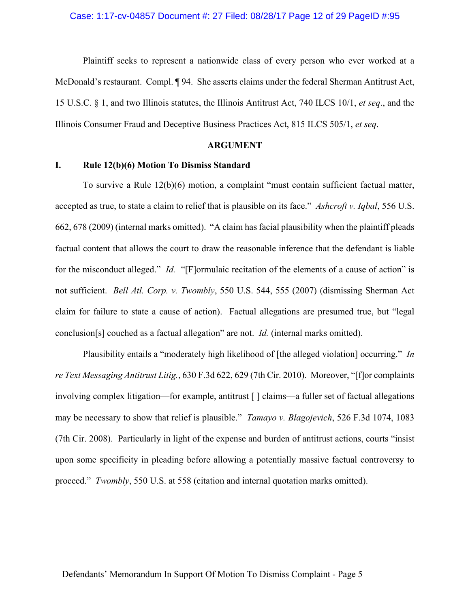Plaintiff seeks to represent a nationwide class of every person who ever worked at a McDonald's restaurant. Compl. ¶ 94. She asserts claims under the federal Sherman Antitrust Act, 15 U.S.C. § 1, and two Illinois statutes, the Illinois Antitrust Act, 740 ILCS 10/1, *et seq*., and the Illinois Consumer Fraud and Deceptive Business Practices Act, 815 ILCS 505/1, *et seq*.

#### **ARGUMENT**

### **I. Rule 12(b)(6) Motion To Dismiss Standard**

To survive a Rule 12(b)(6) motion, a complaint "must contain sufficient factual matter, accepted as true, to state a claim to relief that is plausible on its face." *Ashcroft v. Iqbal*, 556 U.S. 662, 678 (2009) (internal marks omitted). "A claim has facial plausibility when the plaintiff pleads factual content that allows the court to draw the reasonable inference that the defendant is liable for the misconduct alleged." *Id.* "[F]ormulaic recitation of the elements of a cause of action" is not sufficient. *Bell Atl. Corp. v. Twombly*, 550 U.S. 544, 555 (2007) (dismissing Sherman Act claim for failure to state a cause of action). Factual allegations are presumed true, but "legal conclusion[s] couched as a factual allegation" are not. *Id.* (internal marks omitted).

Plausibility entails a "moderately high likelihood of [the alleged violation] occurring." *In re Text Messaging Antitrust Litig.*, 630 F.3d 622, 629 (7th Cir. 2010). Moreover, "[f]or complaints involving complex litigation—for example, antitrust [ ] claims—a fuller set of factual allegations may be necessary to show that relief is plausible." *Tamayo v. Blagojevich*, 526 F.3d 1074, 1083 (7th Cir. 2008). Particularly in light of the expense and burden of antitrust actions, courts "insist upon some specificity in pleading before allowing a potentially massive factual controversy to proceed." *Twombly*, 550 U.S. at 558 (citation and internal quotation marks omitted).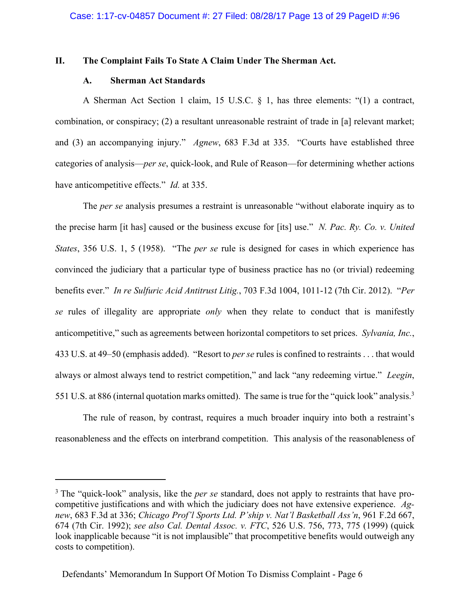#### **II. The Complaint Fails To State A Claim Under The Sherman Act.**

### **A. Sherman Act Standards**

<u>.</u>

A Sherman Act Section 1 claim, 15 U.S.C. § 1, has three elements: "(1) a contract, combination, or conspiracy; (2) a resultant unreasonable restraint of trade in [a] relevant market; and (3) an accompanying injury." *Agnew*, 683 F.3d at 335. "Courts have established three categories of analysis—*per se*, quick-look, and Rule of Reason—for determining whether actions have anticompetitive effects." *Id.* at 335.

The *per se* analysis presumes a restraint is unreasonable "without elaborate inquiry as to the precise harm [it has] caused or the business excuse for [its] use." *N. Pac. Ry. Co. v. United States*, 356 U.S. 1, 5 (1958). "The *per se* rule is designed for cases in which experience has convinced the judiciary that a particular type of business practice has no (or trivial) redeeming benefits ever." *In re Sulfuric Acid Antitrust Litig.*, 703 F.3d 1004, 1011-12 (7th Cir. 2012). "*Per se* rules of illegality are appropriate *only* when they relate to conduct that is manifestly anticompetitive," such as agreements between horizontal competitors to set prices. *Sylvania, Inc.*, 433 U.S. at 49–50 (emphasis added). "Resort to *per se* rules is confined to restraints . . . that would always or almost always tend to restrict competition," and lack "any redeeming virtue." *Leegin*, 551 U.S. at 886 (internal quotation marks omitted). The same is true for the "quick look" analysis.<sup>3</sup>

The rule of reason, by contrast, requires a much broader inquiry into both a restraint's reasonableness and the effects on interbrand competition. This analysis of the reasonableness of

<sup>&</sup>lt;sup>3</sup> The "quick-look" analysis, like the *per se* standard, does not apply to restraints that have procompetitive justifications and with which the judiciary does not have extensive experience. *Agnew*, 683 F.3d at 336; *Chicago Prof'l Sports Ltd. P'ship v. Nat'l Basketball Ass'n*, 961 F.2d 667, 674 (7th Cir. 1992); *see also Cal. Dental Assoc. v. FTC*, 526 U.S. 756, 773, 775 (1999) (quick look inapplicable because "it is not implausible" that procompetitive benefits would outweigh any costs to competition).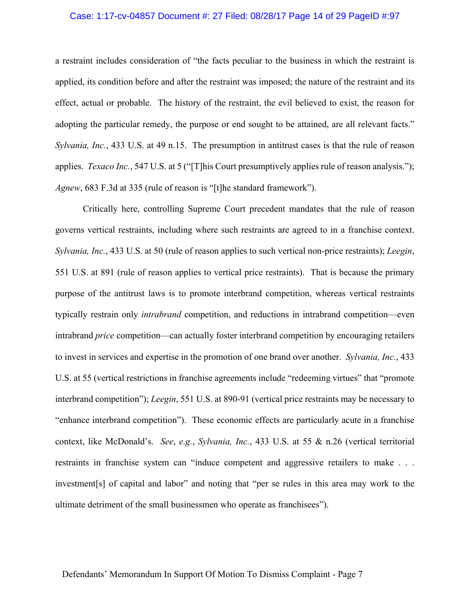#### Case: 1:17-cv-04857 Document #: 27 Filed: 08/28/17 Page 14 of 29 PageID #:97

a restraint includes consideration of "the facts peculiar to the business in which the restraint is applied, its condition before and after the restraint was imposed; the nature of the restraint and its effect, actual or probable. The history of the restraint, the evil believed to exist, the reason for adopting the particular remedy, the purpose or end sought to be attained, are all relevant facts." *Sylvania, Inc.*, 433 U.S. at 49 n.15. The presumption in antitrust cases is that the rule of reason applies. *Texaco Inc.*, 547 U.S. at 5 ("[T]his Court presumptively applies rule of reason analysis."); *Agnew*, 683 F.3d at 335 (rule of reason is "[t]he standard framework").

Critically here, controlling Supreme Court precedent mandates that the rule of reason governs vertical restraints, including where such restraints are agreed to in a franchise context. *Sylvania, Inc.*, 433 U.S. at 50 (rule of reason applies to such vertical non-price restraints); *Leegin*, 551 U.S. at 891 (rule of reason applies to vertical price restraints). That is because the primary purpose of the antitrust laws is to promote interbrand competition, whereas vertical restraints typically restrain only *intrabrand* competition, and reductions in intrabrand competition—even intrabrand *price* competition—can actually foster interbrand competition by encouraging retailers to invest in services and expertise in the promotion of one brand over another. *Sylvania, Inc.*, 433 U.S. at 55 (vertical restrictions in franchise agreements include "redeeming virtues" that "promote interbrand competition"); *Leegin*, 551 U.S. at 890-91 (vertical price restraints may be necessary to "enhance interbrand competition"). These economic effects are particularly acute in a franchise context, like McDonald's. *See*, *e.g.*, *Sylvania, Inc.*, 433 U.S. at 55 & n.26 (vertical territorial restraints in franchise system can "induce competent and aggressive retailers to make . . . investment[s] of capital and labor" and noting that "per se rules in this area may work to the ultimate detriment of the small businessmen who operate as franchisees").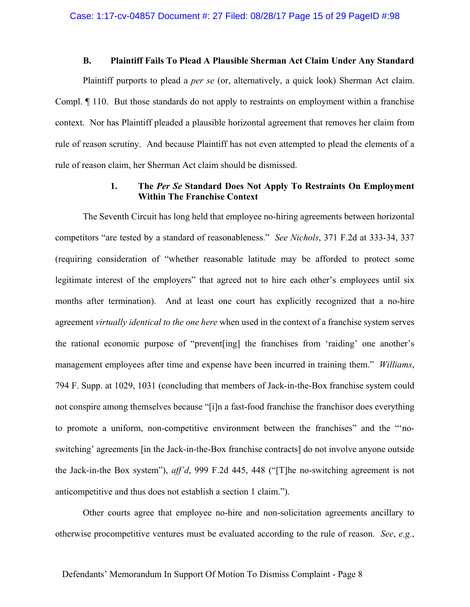### **B. Plaintiff Fails To Plead A Plausible Sherman Act Claim Under Any Standard**

Plaintiff purports to plead a *per se* (or, alternatively, a quick look) Sherman Act claim. Compl. ¶ 110. But those standards do not apply to restraints on employment within a franchise context. Nor has Plaintiff pleaded a plausible horizontal agreement that removes her claim from rule of reason scrutiny. And because Plaintiff has not even attempted to plead the elements of a rule of reason claim, her Sherman Act claim should be dismissed.

# **1. The** *Per Se* **Standard Does Not Apply To Restraints On Employment Within The Franchise Context**

The Seventh Circuit has long held that employee no-hiring agreements between horizontal competitors "are tested by a standard of reasonableness." *See Nichols*, 371 F.2d at 333-34, 337 (requiring consideration of "whether reasonable latitude may be afforded to protect some legitimate interest of the employers" that agreed not to hire each other's employees until six months after termination). And at least one court has explicitly recognized that a no-hire agreement *virtually identical to the one here* when used in the context of a franchise system serves the rational economic purpose of "prevent[ing] the franchises from 'raiding' one another's management employees after time and expense have been incurred in training them." *Williams*, 794 F. Supp. at 1029, 1031 (concluding that members of Jack-in-the-Box franchise system could not conspire among themselves because "[i]n a fast-food franchise the franchisor does everything to promote a uniform, non-competitive environment between the franchises" and the "'noswitching' agreements [in the Jack-in-the-Box franchise contracts] do not involve anyone outside the Jack-in-the Box system"), *aff'd*, 999 F.2d 445, 448 ("[T]he no-switching agreement is not anticompetitive and thus does not establish a section 1 claim.").

Other courts agree that employee no-hire and non-solicitation agreements ancillary to otherwise procompetitive ventures must be evaluated according to the rule of reason. *See*, *e.g.*,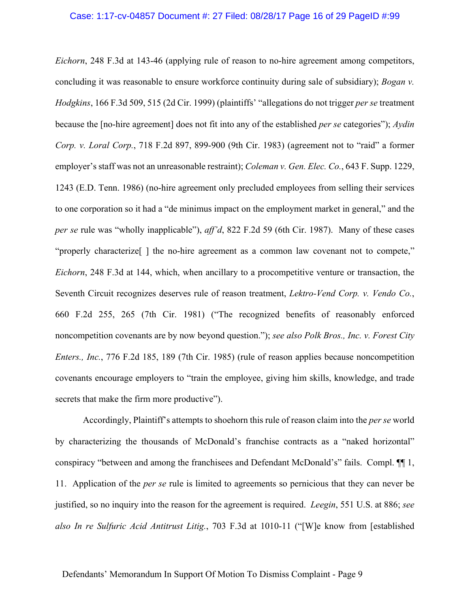#### Case: 1:17-cv-04857 Document #: 27 Filed: 08/28/17 Page 16 of 29 PageID #:99

*Eichorn*, 248 F.3d at 143-46 (applying rule of reason to no-hire agreement among competitors, concluding it was reasonable to ensure workforce continuity during sale of subsidiary); *Bogan v. Hodgkins*, 166 F.3d 509, 515 (2d Cir. 1999) (plaintiffs' "allegations do not trigger *per se* treatment because the [no-hire agreement] does not fit into any of the established *per se* categories"); *Aydin Corp. v. Loral Corp.*, 718 F.2d 897, 899-900 (9th Cir. 1983) (agreement not to "raid" a former employer's staff was not an unreasonable restraint); *Coleman v. Gen. Elec. Co.*, 643 F. Supp. 1229, 1243 (E.D. Tenn. 1986) (no-hire agreement only precluded employees from selling their services to one corporation so it had a "de minimus impact on the employment market in general," and the *per se* rule was "wholly inapplicable"), *aff'd*, 822 F.2d 59 (6th Cir. 1987). Many of these cases "properly characterize[ ] the no-hire agreement as a common law covenant not to compete," *Eichorn*, 248 F.3d at 144, which, when ancillary to a procompetitive venture or transaction, the Seventh Circuit recognizes deserves rule of reason treatment, *Lektro-Vend Corp. v. Vendo Co.*, 660 F.2d 255, 265 (7th Cir. 1981) ("The recognized benefits of reasonably enforced noncompetition covenants are by now beyond question."); *see also Polk Bros., Inc. v. Forest City Enters., Inc.*, 776 F.2d 185, 189 (7th Cir. 1985) (rule of reason applies because noncompetition covenants encourage employers to "train the employee, giving him skills, knowledge, and trade secrets that make the firm more productive").

Accordingly, Plaintiff's attempts to shoehorn this rule of reason claim into the *per se* world by characterizing the thousands of McDonald's franchise contracts as a "naked horizontal" conspiracy "between and among the franchisees and Defendant McDonald's" fails. Compl. ¶¶ 1, 11. Application of the *per se* rule is limited to agreements so pernicious that they can never be justified, so no inquiry into the reason for the agreement is required. *Leegin*, 551 U.S. at 886; *see also In re Sulfuric Acid Antitrust Litig.*, 703 F.3d at 1010-11 ("[W]e know from [established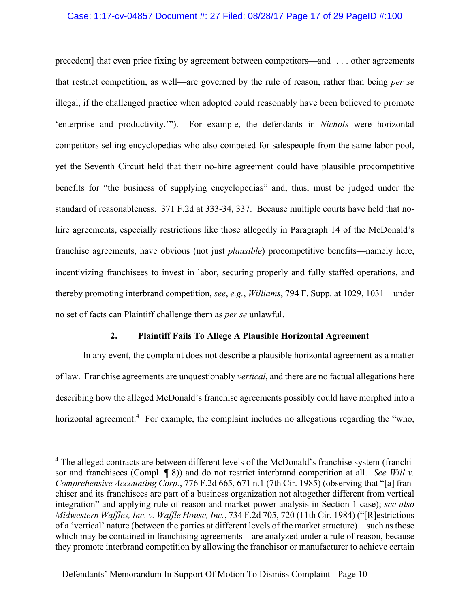### Case: 1:17-cv-04857 Document #: 27 Filed: 08/28/17 Page 17 of 29 PageID #:100

precedent] that even price fixing by agreement between competitors—and . . . other agreements that restrict competition, as well—are governed by the rule of reason, rather than being *per se* illegal, if the challenged practice when adopted could reasonably have been believed to promote 'enterprise and productivity.'"). For example, the defendants in *Nichols* were horizontal competitors selling encyclopedias who also competed for salespeople from the same labor pool, yet the Seventh Circuit held that their no-hire agreement could have plausible procompetitive benefits for "the business of supplying encyclopedias" and, thus, must be judged under the standard of reasonableness. 371 F.2d at 333-34, 337. Because multiple courts have held that nohire agreements, especially restrictions like those allegedly in Paragraph 14 of the McDonald's franchise agreements, have obvious (not just *plausible*) procompetitive benefits—namely here, incentivizing franchisees to invest in labor, securing properly and fully staffed operations, and thereby promoting interbrand competition, *see*, *e.g.*, *Williams*, 794 F. Supp. at 1029, 1031—under no set of facts can Plaintiff challenge them as *per se* unlawful.

## **2. Plaintiff Fails To Allege A Plausible Horizontal Agreement**

In any event, the complaint does not describe a plausible horizontal agreement as a matter of law. Franchise agreements are unquestionably *vertical*, and there are no factual allegations here describing how the alleged McDonald's franchise agreements possibly could have morphed into a horizontal agreement.<sup>4</sup> For example, the complaint includes no allegations regarding the "who,

1

<sup>&</sup>lt;sup>4</sup> The alleged contracts are between different levels of the McDonald's franchise system (franchisor and franchisees (Compl. ¶ 8)) and do not restrict interbrand competition at all. *See Will v. Comprehensive Accounting Corp.*, 776 F.2d 665, 671 n.1 (7th Cir. 1985) (observing that "[a] franchiser and its franchisees are part of a business organization not altogether different from vertical integration" and applying rule of reason and market power analysis in Section 1 case); *see also Midwestern Waffles, Inc. v. Waffle House, Inc.*, 734 F.2d 705, 720 (11th Cir. 1984) ("[R]estrictions of a 'vertical' nature (between the parties at different levels of the market structure)—such as those which may be contained in franchising agreements—are analyzed under a rule of reason, because they promote interbrand competition by allowing the franchisor or manufacturer to achieve certain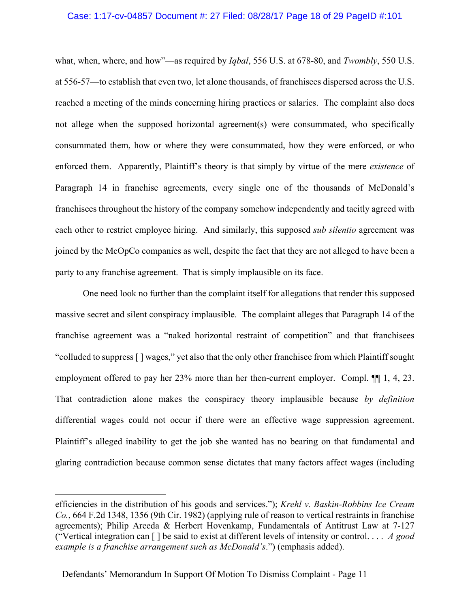#### Case: 1:17-cv-04857 Document #: 27 Filed: 08/28/17 Page 18 of 29 PageID #:101

what, when, where, and how"—as required by *Iqbal*, 556 U.S. at 678-80, and *Twombly*, 550 U.S. at 556-57—to establish that even two, let alone thousands, of franchisees dispersed across the U.S. reached a meeting of the minds concerning hiring practices or salaries. The complaint also does not allege when the supposed horizontal agreement(s) were consummated, who specifically consummated them, how or where they were consummated, how they were enforced, or who enforced them. Apparently, Plaintiff's theory is that simply by virtue of the mere *existence* of Paragraph 14 in franchise agreements, every single one of the thousands of McDonald's franchisees throughout the history of the company somehow independently and tacitly agreed with each other to restrict employee hiring. And similarly, this supposed *sub silentio* agreement was joined by the McOpCo companies as well, despite the fact that they are not alleged to have been a party to any franchise agreement. That is simply implausible on its face.

One need look no further than the complaint itself for allegations that render this supposed massive secret and silent conspiracy implausible. The complaint alleges that Paragraph 14 of the franchise agreement was a "naked horizontal restraint of competition" and that franchisees "colluded to suppress [ ] wages," yet also that the only other franchisee from which Plaintiff sought employment offered to pay her 23% more than her then-current employer. Compl. ¶¶ 1, 4, 23. That contradiction alone makes the conspiracy theory implausible because *by definition* differential wages could not occur if there were an effective wage suppression agreement. Plaintiff's alleged inability to get the job she wanted has no bearing on that fundamental and glaring contradiction because common sense dictates that many factors affect wages (including

 $\overline{a}$ 

efficiencies in the distribution of his goods and services."); *Krehl v. Baskin-Robbins Ice Cream Co.*, 664 F.2d 1348, 1356 (9th Cir. 1982) (applying rule of reason to vertical restraints in franchise agreements); Philip Areeda & Herbert Hovenkamp, Fundamentals of Antitrust Law at 7-127 ("Vertical integration can [ ] be said to exist at different levels of intensity or control. . . . *A good example is a franchise arrangement such as McDonald's*.") (emphasis added).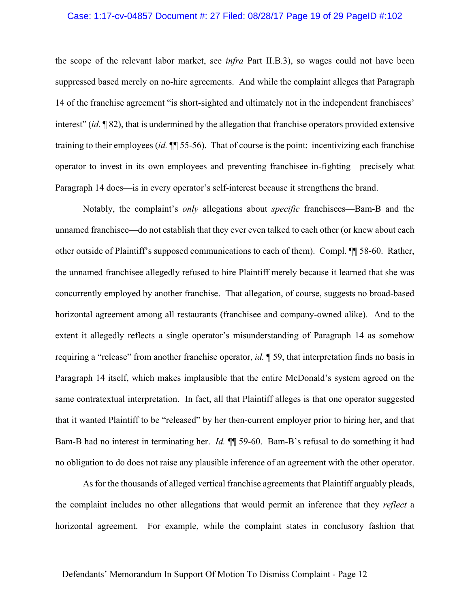#### Case: 1:17-cv-04857 Document #: 27 Filed: 08/28/17 Page 19 of 29 PageID #:102

the scope of the relevant labor market, see *infra* Part II.B.3), so wages could not have been suppressed based merely on no-hire agreements. And while the complaint alleges that Paragraph 14 of the franchise agreement "is short-sighted and ultimately not in the independent franchisees' interest" (*id.* ¶ 82), that is undermined by the allegation that franchise operators provided extensive training to their employees (*id.* ¶¶ 55-56). That of course is the point: incentivizing each franchise operator to invest in its own employees and preventing franchisee in-fighting—precisely what Paragraph 14 does—is in every operator's self-interest because it strengthens the brand.

Notably, the complaint's *only* allegations about *specific* franchisees—Bam-B and the unnamed franchisee—do not establish that they ever even talked to each other (or knew about each other outside of Plaintiff's supposed communications to each of them). Compl. ¶¶ 58-60. Rather, the unnamed franchisee allegedly refused to hire Plaintiff merely because it learned that she was concurrently employed by another franchise. That allegation, of course, suggests no broad-based horizontal agreement among all restaurants (franchisee and company-owned alike). And to the extent it allegedly reflects a single operator's misunderstanding of Paragraph 14 as somehow requiring a "release" from another franchise operator, *id.* ¶ 59, that interpretation finds no basis in Paragraph 14 itself, which makes implausible that the entire McDonald's system agreed on the same contratextual interpretation. In fact, all that Plaintiff alleges is that one operator suggested that it wanted Plaintiff to be "released" by her then-current employer prior to hiring her, and that Bam-B had no interest in terminating her. *Id.* ¶¶ 59-60. Bam-B's refusal to do something it had no obligation to do does not raise any plausible inference of an agreement with the other operator.

As for the thousands of alleged vertical franchise agreements that Plaintiff arguably pleads, the complaint includes no other allegations that would permit an inference that they *reflect* a horizontal agreement. For example, while the complaint states in conclusory fashion that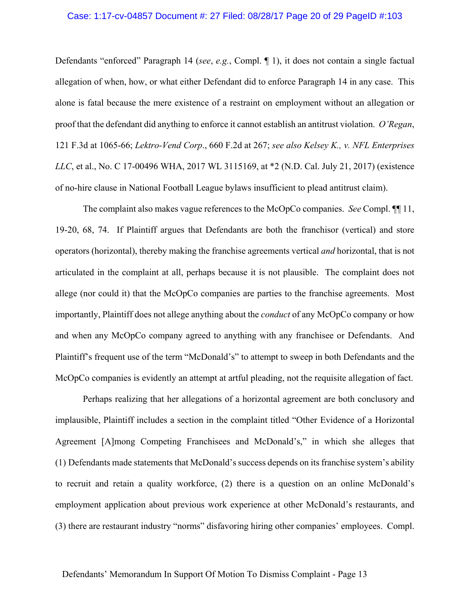#### Case: 1:17-cv-04857 Document #: 27 Filed: 08/28/17 Page 20 of 29 PageID #:103

Defendants "enforced" Paragraph 14 (*see*, *e.g.*, Compl. ¶ 1), it does not contain a single factual allegation of when, how, or what either Defendant did to enforce Paragraph 14 in any case. This alone is fatal because the mere existence of a restraint on employment without an allegation or proof that the defendant did anything to enforce it cannot establish an antitrust violation. *O'Regan*, 121 F.3d at 1065-66; *Lektro-Vend Corp*., 660 F.2d at 267; *see also Kelsey K., v. NFL Enterprises LLC*, et al., No. C 17-00496 WHA, 2017 WL 3115169, at \*2 (N.D. Cal. July 21, 2017) (existence of no-hire clause in National Football League bylaws insufficient to plead antitrust claim).

The complaint also makes vague references to the McOpCo companies. *See* Compl. ¶¶ 11, 19-20, 68, 74. If Plaintiff argues that Defendants are both the franchisor (vertical) and store operators (horizontal), thereby making the franchise agreements vertical *and* horizontal, that is not articulated in the complaint at all, perhaps because it is not plausible. The complaint does not allege (nor could it) that the McOpCo companies are parties to the franchise agreements. Most importantly, Plaintiff does not allege anything about the *conduct* of any McOpCo company or how and when any McOpCo company agreed to anything with any franchisee or Defendants. And Plaintiff's frequent use of the term "McDonald's" to attempt to sweep in both Defendants and the McOpCo companies is evidently an attempt at artful pleading, not the requisite allegation of fact.

Perhaps realizing that her allegations of a horizontal agreement are both conclusory and implausible, Plaintiff includes a section in the complaint titled "Other Evidence of a Horizontal Agreement [A]mong Competing Franchisees and McDonald's," in which she alleges that (1) Defendants made statements that McDonald's success depends on its franchise system's ability to recruit and retain a quality workforce, (2) there is a question on an online McDonald's employment application about previous work experience at other McDonald's restaurants, and (3) there are restaurant industry "norms" disfavoring hiring other companies' employees. Compl.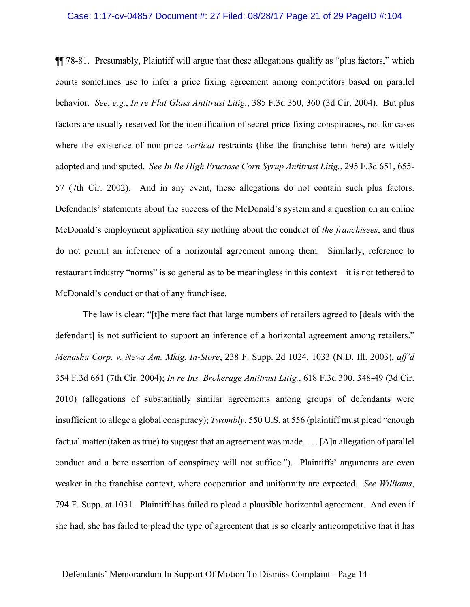#### Case: 1:17-cv-04857 Document #: 27 Filed: 08/28/17 Page 21 of 29 PageID #:104

¶¶ 78-81. Presumably, Plaintiff will argue that these allegations qualify as "plus factors," which courts sometimes use to infer a price fixing agreement among competitors based on parallel behavior. *See*, *e.g.*, *In re Flat Glass Antitrust Litig.*, 385 F.3d 350, 360 (3d Cir. 2004). But plus factors are usually reserved for the identification of secret price-fixing conspiracies, not for cases where the existence of non-price *vertical* restraints (like the franchise term here) are widely adopted and undisputed. *See In Re High Fructose Corn Syrup Antitrust Litig.*, 295 F.3d 651, 655- 57 (7th Cir. 2002). And in any event, these allegations do not contain such plus factors. Defendants' statements about the success of the McDonald's system and a question on an online McDonald's employment application say nothing about the conduct of *the franchisees*, and thus do not permit an inference of a horizontal agreement among them. Similarly, reference to restaurant industry "norms" is so general as to be meaningless in this context—it is not tethered to McDonald's conduct or that of any franchisee.

The law is clear: "[t]he mere fact that large numbers of retailers agreed to [deals with the defendant] is not sufficient to support an inference of a horizontal agreement among retailers." *Menasha Corp. v. News Am. Mktg. In-Store*, 238 F. Supp. 2d 1024, 1033 (N.D. Ill. 2003), *aff'd*  354 F.3d 661 (7th Cir. 2004); *In re Ins. Brokerage Antitrust Litig.*, 618 F.3d 300, 348-49 (3d Cir. 2010) (allegations of substantially similar agreements among groups of defendants were insufficient to allege a global conspiracy); *Twombly*, 550 U.S. at 556 (plaintiff must plead "enough factual matter (taken as true) to suggest that an agreement was made. . . . [A]n allegation of parallel conduct and a bare assertion of conspiracy will not suffice."). Plaintiffs' arguments are even weaker in the franchise context, where cooperation and uniformity are expected. *See Williams*, 794 F. Supp. at 1031. Plaintiff has failed to plead a plausible horizontal agreement. And even if she had, she has failed to plead the type of agreement that is so clearly anticompetitive that it has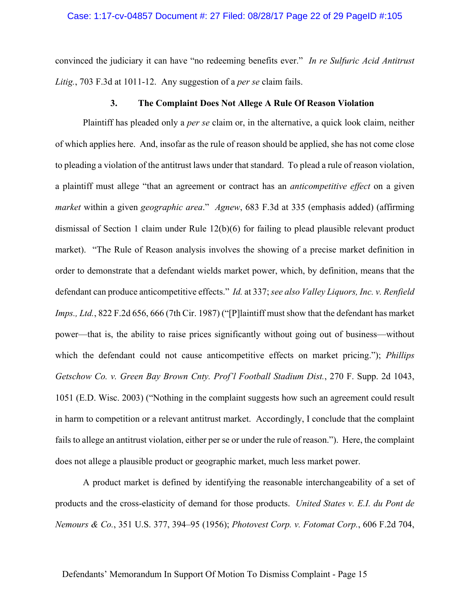#### Case: 1:17-cv-04857 Document #: 27 Filed: 08/28/17 Page 22 of 29 PageID #:105

convinced the judiciary it can have "no redeeming benefits ever." *In re Sulfuric Acid Antitrust Litig.*, 703 F.3d at 1011-12. Any suggestion of a *per se* claim fails.

#### **3. The Complaint Does Not Allege A Rule Of Reason Violation**

Plaintiff has pleaded only a *per se* claim or, in the alternative, a quick look claim, neither of which applies here. And, insofar as the rule of reason should be applied, she has not come close to pleading a violation of the antitrust laws under that standard. To plead a rule of reason violation, a plaintiff must allege "that an agreement or contract has an *anticompetitive effect* on a given *market* within a given *geographic area*." *Agnew*, 683 F.3d at 335 (emphasis added) (affirming dismissal of Section 1 claim under Rule 12(b)(6) for failing to plead plausible relevant product market). "The Rule of Reason analysis involves the showing of a precise market definition in order to demonstrate that a defendant wields market power, which, by definition, means that the defendant can produce anticompetitive effects." *Id.* at 337; *see also Valley Liquors, Inc. v. Renfield Imps., Ltd.*, 822 F.2d 656, 666 (7th Cir. 1987) ("[P]laintiff must show that the defendant has market power—that is, the ability to raise prices significantly without going out of business—without which the defendant could not cause anticompetitive effects on market pricing."); *Phillips Getschow Co. v. Green Bay Brown Cnty. Prof'l Football Stadium Dist.*, 270 F. Supp. 2d 1043, 1051 (E.D. Wisc. 2003) ("Nothing in the complaint suggests how such an agreement could result in harm to competition or a relevant antitrust market. Accordingly, I conclude that the complaint fails to allege an antitrust violation, either per se or under the rule of reason."). Here, the complaint does not allege a plausible product or geographic market, much less market power.

A product market is defined by identifying the reasonable interchangeability of a set of products and the cross-elasticity of demand for those products. *United States v. E.I. du Pont de Nemours & Co.*, 351 U.S. 377, 394–95 (1956); *Photovest Corp. v. Fotomat Corp.*, 606 F.2d 704,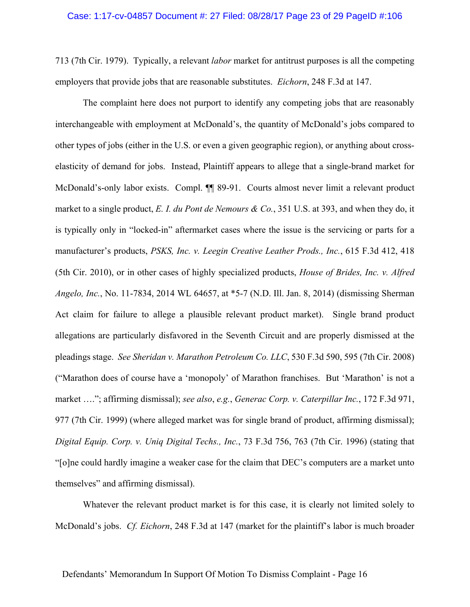### Case: 1:17-cv-04857 Document #: 27 Filed: 08/28/17 Page 23 of 29 PageID #:106

713 (7th Cir. 1979). Typically, a relevant *labor* market for antitrust purposes is all the competing employers that provide jobs that are reasonable substitutes. *Eichorn*, 248 F.3d at 147.

The complaint here does not purport to identify any competing jobs that are reasonably interchangeable with employment at McDonald's, the quantity of McDonald's jobs compared to other types of jobs (either in the U.S. or even a given geographic region), or anything about crosselasticity of demand for jobs. Instead, Plaintiff appears to allege that a single-brand market for McDonald's-only labor exists. Compl. ¶¶ 89-91. Courts almost never limit a relevant product market to a single product, *E. I. du Pont de Nemours & Co.*, 351 U.S. at 393, and when they do, it is typically only in "locked-in" aftermarket cases where the issue is the servicing or parts for a manufacturer's products, *PSKS, Inc. v. Leegin Creative Leather Prods., Inc.*, 615 F.3d 412, 418 (5th Cir. 2010), or in other cases of highly specialized products, *House of Brides, Inc. v. Alfred Angelo, Inc.*, No. 11-7834, 2014 WL 64657, at \*5-7 (N.D. Ill. Jan. 8, 2014) (dismissing Sherman Act claim for failure to allege a plausible relevant product market). Single brand product allegations are particularly disfavored in the Seventh Circuit and are properly dismissed at the pleadings stage. *See Sheridan v. Marathon Petroleum Co. LLC*, 530 F.3d 590, 595 (7th Cir. 2008) ("Marathon does of course have a 'monopoly' of Marathon franchises. But 'Marathon' is not a market …."; affirming dismissal); *see also*, *e.g.*, *Generac Corp. v. Caterpillar Inc.*, 172 F.3d 971, 977 (7th Cir. 1999) (where alleged market was for single brand of product, affirming dismissal); *Digital Equip. Corp. v. Uniq Digital Techs., Inc.*, 73 F.3d 756, 763 (7th Cir. 1996) (stating that "[o]ne could hardly imagine a weaker case for the claim that DEC's computers are a market unto themselves" and affirming dismissal).

Whatever the relevant product market is for this case, it is clearly not limited solely to McDonald's jobs. *Cf. Eichorn*, 248 F.3d at 147 (market for the plaintiff's labor is much broader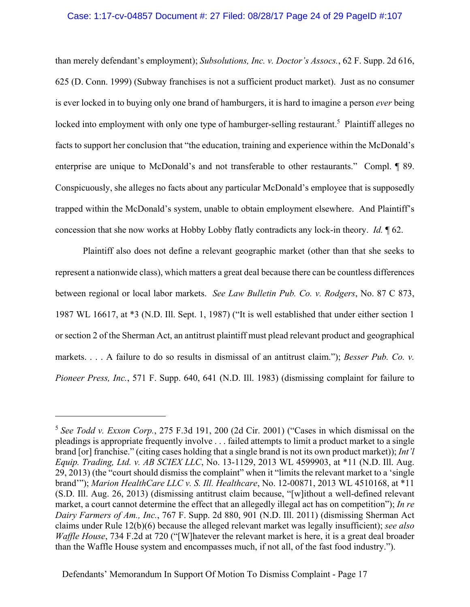#### Case: 1:17-cv-04857 Document #: 27 Filed: 08/28/17 Page 24 of 29 PageID #:107

than merely defendant's employment); *Subsolutions, Inc. v. Doctor's Assocs.*, 62 F. Supp. 2d 616, 625 (D. Conn. 1999) (Subway franchises is not a sufficient product market). Just as no consumer is ever locked in to buying only one brand of hamburgers, it is hard to imagine a person *ever* being locked into employment with only one type of hamburger-selling restaurant.<sup>5</sup> Plaintiff alleges no facts to support her conclusion that "the education, training and experience within the McDonald's enterprise are unique to McDonald's and not transferable to other restaurants." Compl. 1 89. Conspicuously, she alleges no facts about any particular McDonald's employee that is supposedly trapped within the McDonald's system, unable to obtain employment elsewhere. And Plaintiff's concession that she now works at Hobby Lobby flatly contradicts any lock-in theory. *Id.* ¶ 62.

Plaintiff also does not define a relevant geographic market (other than that she seeks to represent a nationwide class), which matters a great deal because there can be countless differences between regional or local labor markets. *See Law Bulletin Pub. Co. v. Rodgers*, No. 87 C 873, 1987 WL 16617, at \*3 (N.D. Ill. Sept. 1, 1987) ("It is well established that under either section 1 or section 2 of the Sherman Act, an antitrust plaintiff must plead relevant product and geographical markets. . . . A failure to do so results in dismissal of an antitrust claim."); *Besser Pub. Co. v. Pioneer Press, Inc.*, 571 F. Supp. 640, 641 (N.D. Ill. 1983) (dismissing complaint for failure to

 $\overline{a}$ 

<sup>5</sup> *See Todd v. Exxon Corp.*, 275 F.3d 191, 200 (2d Cir. 2001) ("Cases in which dismissal on the pleadings is appropriate frequently involve . . . failed attempts to limit a product market to a single brand [or] franchise." (citing cases holding that a single brand is not its own product market)); *Int'l Equip. Trading, Ltd. v. AB SCIEX LLC*, No. 13-1129, 2013 WL 4599903, at \*11 (N.D. Ill. Aug. 29, 2013) (the "court should dismiss the complaint" when it "limits the relevant market to a 'single brand'"); *Marion HealthCare LLC v. S. Ill. Healthcare*, No. 12-00871, 2013 WL 4510168, at \*11 (S.D. Ill. Aug. 26, 2013) (dismissing antitrust claim because, "[w]ithout a well-defined relevant market, a court cannot determine the effect that an allegedly illegal act has on competition"); *In re Dairy Farmers of Am., Inc.*, 767 F. Supp. 2d 880, 901 (N.D. Ill. 2011) (dismissing Sherman Act claims under Rule 12(b)(6) because the alleged relevant market was legally insufficient); *see also Waffle House*, 734 F.2d at 720 ("[W]hatever the relevant market is here, it is a great deal broader than the Waffle House system and encompasses much, if not all, of the fast food industry.").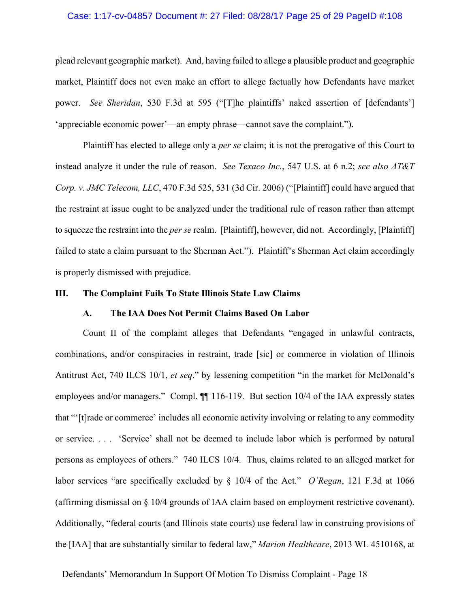#### Case: 1:17-cv-04857 Document #: 27 Filed: 08/28/17 Page 25 of 29 PageID #:108

plead relevant geographic market). And, having failed to allege a plausible product and geographic market, Plaintiff does not even make an effort to allege factually how Defendants have market power. *See Sheridan*, 530 F.3d at 595 ("[T]he plaintiffs' naked assertion of [defendants'] 'appreciable economic power'—an empty phrase—cannot save the complaint.").

Plaintiff has elected to allege only a *per se* claim; it is not the prerogative of this Court to instead analyze it under the rule of reason. *See Texaco Inc.*, 547 U.S. at 6 n.2; *see also AT&T Corp. v. JMC Telecom, LLC*, 470 F.3d 525, 531 (3d Cir. 2006) ("[Plaintiff] could have argued that the restraint at issue ought to be analyzed under the traditional rule of reason rather than attempt to squeeze the restraint into the *per se* realm. [Plaintiff], however, did not. Accordingly, [Plaintiff] failed to state a claim pursuant to the Sherman Act."). Plaintiff's Sherman Act claim accordingly is properly dismissed with prejudice.

#### **III. The Complaint Fails To State Illinois State Law Claims**

### **A. The IAA Does Not Permit Claims Based On Labor**

Count II of the complaint alleges that Defendants "engaged in unlawful contracts, combinations, and/or conspiracies in restraint, trade [sic] or commerce in violation of Illinois Antitrust Act, 740 ILCS 10/1, *et seq*." by lessening competition "in the market for McDonald's employees and/or managers." Compl.  $\P$  116-119. But section 10/4 of the IAA expressly states that "'[t]rade or commerce' includes all economic activity involving or relating to any commodity or service. . . . 'Service' shall not be deemed to include labor which is performed by natural persons as employees of others." 740 ILCS 10/4. Thus, claims related to an alleged market for labor services "are specifically excluded by § 10/4 of the Act." *O'Regan*, 121 F.3d at 1066 (affirming dismissal on § 10/4 grounds of IAA claim based on employment restrictive covenant). Additionally, "federal courts (and Illinois state courts) use federal law in construing provisions of the [IAA] that are substantially similar to federal law," *Marion Healthcare*, 2013 WL 4510168, at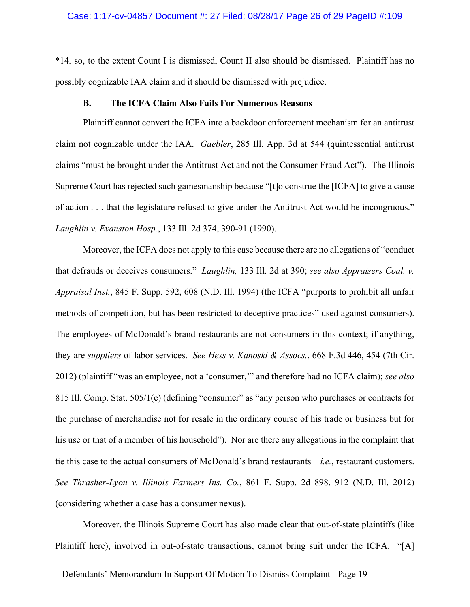#### Case: 1:17-cv-04857 Document #: 27 Filed: 08/28/17 Page 26 of 29 PageID #:109

\*14, so, to the extent Count I is dismissed, Count II also should be dismissed. Plaintiff has no possibly cognizable IAA claim and it should be dismissed with prejudice.

#### **B. The ICFA Claim Also Fails For Numerous Reasons**

Plaintiff cannot convert the ICFA into a backdoor enforcement mechanism for an antitrust claim not cognizable under the IAA. *Gaebler*, 285 Ill. App. 3d at 544 (quintessential antitrust claims "must be brought under the Antitrust Act and not the Consumer Fraud Act"). The Illinois Supreme Court has rejected such gamesmanship because "[t]o construe the [ICFA] to give a cause of action . . . that the legislature refused to give under the Antitrust Act would be incongruous." *Laughlin v. Evanston Hosp.*, 133 Ill. 2d 374, 390-91 (1990).

Moreover, the ICFA does not apply to this case because there are no allegations of "conduct that defrauds or deceives consumers." *Laughlin,* 133 Ill. 2d at 390; *see also Appraisers Coal. v. Appraisal Inst.*, 845 F. Supp. 592, 608 (N.D. Ill. 1994) (the ICFA "purports to prohibit all unfair methods of competition, but has been restricted to deceptive practices" used against consumers). The employees of McDonald's brand restaurants are not consumers in this context; if anything, they are *suppliers* of labor services. *See Hess v. Kanoski & Assocs.*, 668 F.3d 446, 454 (7th Cir. 2012) (plaintiff "was an employee, not a 'consumer,'" and therefore had no ICFA claim); *see also*  815 Ill. Comp. Stat. 505/1(e) (defining "consumer" as "any person who purchases or contracts for the purchase of merchandise not for resale in the ordinary course of his trade or business but for his use or that of a member of his household"). Nor are there any allegations in the complaint that tie this case to the actual consumers of McDonald's brand restaurants—*i.e.*, restaurant customers. *See Thrasher-Lyon v. Illinois Farmers Ins. Co.*, 861 F. Supp. 2d 898, 912 (N.D. Ill. 2012) (considering whether a case has a consumer nexus).

Moreover, the Illinois Supreme Court has also made clear that out-of-state plaintiffs (like Plaintiff here), involved in out-of-state transactions, cannot bring suit under the ICFA. "[A]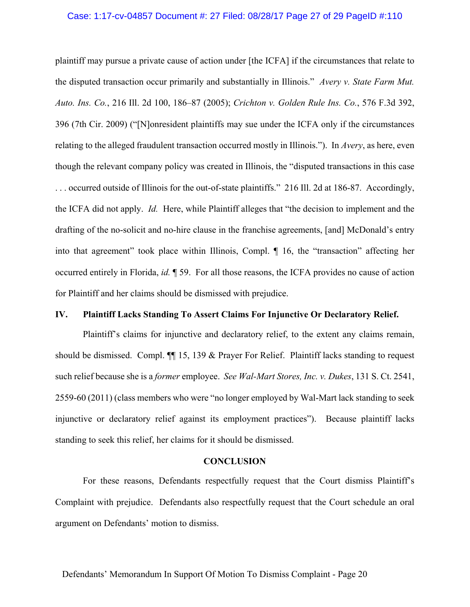#### Case: 1:17-cv-04857 Document #: 27 Filed: 08/28/17 Page 27 of 29 PageID #:110

plaintiff may pursue a private cause of action under [the ICFA] if the circumstances that relate to the disputed transaction occur primarily and substantially in Illinois." *Avery v. State Farm Mut. Auto. Ins. Co.*, 216 Ill. 2d 100, 186–87 (2005); *Crichton v. Golden Rule Ins. Co.*, 576 F.3d 392, 396 (7th Cir. 2009) ("[N]onresident plaintiffs may sue under the ICFA only if the circumstances relating to the alleged fraudulent transaction occurred mostly in Illinois."). In *Avery*, as here, even though the relevant company policy was created in Illinois, the "disputed transactions in this case . . . occurred outside of Illinois for the out-of-state plaintiffs." 216 Ill. 2d at 186-87. Accordingly, the ICFA did not apply. *Id.* Here, while Plaintiff alleges that "the decision to implement and the drafting of the no-solicit and no-hire clause in the franchise agreements, [and] McDonald's entry into that agreement" took place within Illinois, Compl. ¶ 16, the "transaction" affecting her occurred entirely in Florida, *id.* ¶ 59. For all those reasons, the ICFA provides no cause of action for Plaintiff and her claims should be dismissed with prejudice.

## **IV. Plaintiff Lacks Standing To Assert Claims For Injunctive Or Declaratory Relief.**

Plaintiff's claims for injunctive and declaratory relief, to the extent any claims remain, should be dismissed. Compl. ¶¶ 15, 139 & Prayer For Relief. Plaintiff lacks standing to request such relief because she is a *former* employee. *See Wal-Mart Stores, Inc. v. Dukes*, 131 S. Ct. 2541, 2559-60 (2011) (class members who were "no longer employed by Wal-Mart lack standing to seek injunctive or declaratory relief against its employment practices"). Because plaintiff lacks standing to seek this relief, her claims for it should be dismissed.

#### **CONCLUSION**

For these reasons, Defendants respectfully request that the Court dismiss Plaintiff's Complaint with prejudice. Defendants also respectfully request that the Court schedule an oral argument on Defendants' motion to dismiss.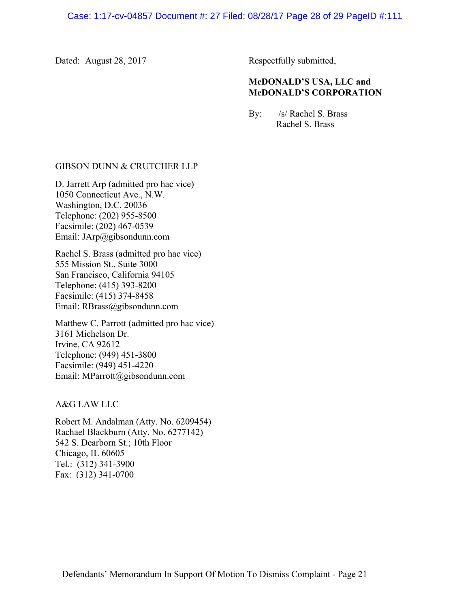Dated: August 28, 2017

Respectfully submitted,

# **McDONALD'S USA, LLC and McDONALD'S CORPORATION**

By: /s/ Rachel S. Brass Rachel S. Brass

## GIBSON DUNN & CRUTCHER LLP

D. Jarrett Arp (admitted pro hac vice) 1050 Connecticut Ave., N.W. Washington, D.C. 20036 Telephone: (202) 955-8500 Facsimile: (202) 467-0539 Email: JArp@gibsondunn.com

Rachel S. Brass (admitted pro hac vice) 555 Mission St., Suite 3000 San Francisco, California 94105 Telephone: (415) 393-8200 Facsimile: (415) 374-8458 Email: RBrass@gibsondunn.com

Matthew C. Parrott (admitted pro hac vice) 3161 Michelson Dr. Irvine, CA 92612 Telephone: (949) 451-3800 Facsimile: (949) 451-4220 Email: MParrott@gibsondunn.com

A&G LAW LLC

Robert M. Andalman (Atty. No. 6209454) Rachael Blackburn (Atty. No. 6277142) 542 S. Dearborn St.; 10th Floor Chicago, IL 60605 Tel.: (312) 341-3900 Fax: (312) 341-0700